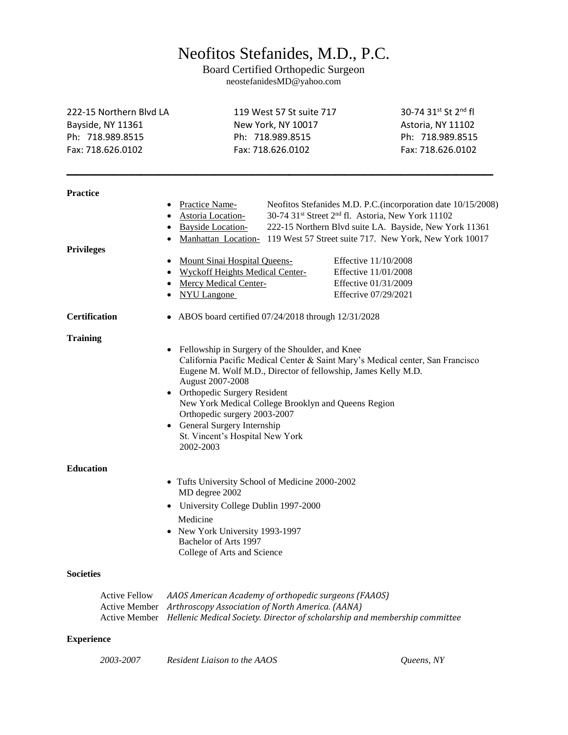## Neofitos Stefanides, M.D., P.C.

Board Certified Orthopedic Surgeon neostefanidesMD@yahoo.com

| 222-15 Northern Blvd LA<br>Bayside, NY 11361<br>Ph: 718.989.8515<br>Fax: 718.626.0102 | 119 West 57 St suite 717<br>New York, NY 10017<br>Ph: 718.989.8515<br>Fax: 718.626.0102                                                                                                                                                                                                                                                                                                                                    |                                                                                              | 30-74 31st St 2nd fl<br>Astoria, NY 11102<br>Ph: 718.989.8515<br>Fax: 718.626.0102                                                                                               |  |
|---------------------------------------------------------------------------------------|----------------------------------------------------------------------------------------------------------------------------------------------------------------------------------------------------------------------------------------------------------------------------------------------------------------------------------------------------------------------------------------------------------------------------|----------------------------------------------------------------------------------------------|----------------------------------------------------------------------------------------------------------------------------------------------------------------------------------|--|
| <b>Practice</b>                                                                       |                                                                                                                                                                                                                                                                                                                                                                                                                            |                                                                                              |                                                                                                                                                                                  |  |
|                                                                                       | Practice Name-<br><b>Astoria</b> Location-<br><b>Bayside Location-</b><br>Manhattan Location-                                                                                                                                                                                                                                                                                                                              | 30-74 31 <sup>st</sup> Street 2 <sup>nd</sup> fl. Astoria, New York 11102                    | Neofitos Stefanides M.D. P.C.(incorporation date 10/15/2008)<br>222-15 Northern Blvd suite LA. Bayside, New York 11361<br>119 West 57 Street suite 717. New York, New York 10017 |  |
| <b>Privileges</b>                                                                     |                                                                                                                                                                                                                                                                                                                                                                                                                            |                                                                                              |                                                                                                                                                                                  |  |
|                                                                                       | <b>Mount Sinai Hospital Queens-</b><br><b>Wyckoff Heights Medical Center-</b><br><b>Mercy Medical Center-</b><br><b>NYU Langone</b>                                                                                                                                                                                                                                                                                        | Effective 11/10/2008<br>Effective 11/01/2008<br>Effective 01/31/2009<br>Effecrive 07/29/2021 |                                                                                                                                                                                  |  |
| <b>Certification</b>                                                                  |                                                                                                                                                                                                                                                                                                                                                                                                                            | • ABOS board certified $07/24/2018$ through $12/31/2028$                                     |                                                                                                                                                                                  |  |
| <b>Training</b>                                                                       | Fellowship in Surgery of the Shoulder, and Knee<br>California Pacific Medical Center & Saint Mary's Medical center, San Francisco<br>Eugene M. Wolf M.D., Director of fellowship, James Kelly M.D.<br>August 2007-2008<br>Orthopedic Surgery Resident<br>New York Medical College Brooklyn and Queens Region<br>Orthopedic surgery 2003-2007<br>General Surgery Internship<br>St. Vincent's Hospital New York<br>2002-2003 |                                                                                              |                                                                                                                                                                                  |  |
| <b>Education</b>                                                                      |                                                                                                                                                                                                                                                                                                                                                                                                                            |                                                                                              |                                                                                                                                                                                  |  |
|                                                                                       | • Tufts University School of Medicine 2000-2002<br>MD degree 2002<br>University College Dublin 1997-2000<br>Medicine<br>New York University 1993-1997                                                                                                                                                                                                                                                                      |                                                                                              |                                                                                                                                                                                  |  |
|                                                                                       | Bachelor of Arts 1997<br>College of Arts and Science                                                                                                                                                                                                                                                                                                                                                                       |                                                                                              |                                                                                                                                                                                  |  |
| <b>Societies</b>                                                                      |                                                                                                                                                                                                                                                                                                                                                                                                                            |                                                                                              |                                                                                                                                                                                  |  |
| <b>Active Fellow</b><br><b>Active Member</b><br>Active Member                         | AAOS American Academy of orthopedic surgeons (FAAOS)<br>Arthroscopy Association of North America. (AANA)<br>Hellenic Medical Society. Director of scholarship and membership committee                                                                                                                                                                                                                                     |                                                                                              |                                                                                                                                                                                  |  |

## **Experience**

*2003-2007 Resident Liaison to the AAOS Queens, NY*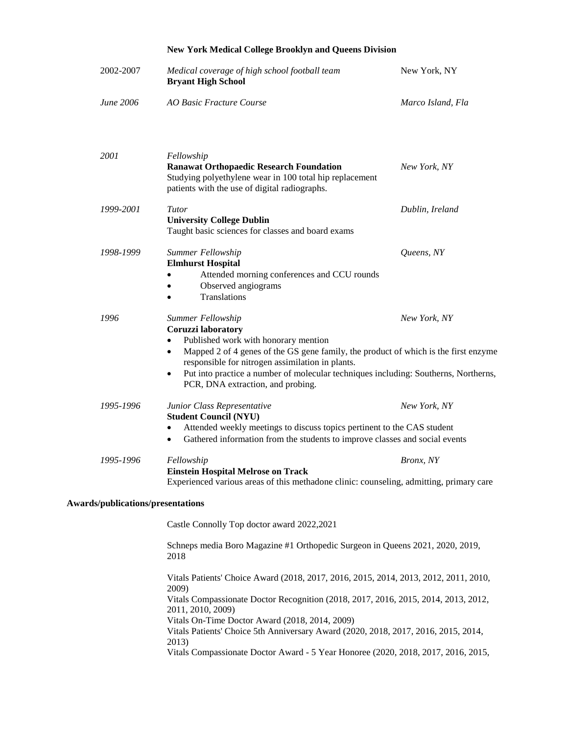## **New York Medical College Brooklyn and Queens Division**

| 2002-2007                         | Medical coverage of high school football team<br><b>Bryant High School</b>                                                                                                                                                                                                                                                                                                                       | New York, NY      |
|-----------------------------------|--------------------------------------------------------------------------------------------------------------------------------------------------------------------------------------------------------------------------------------------------------------------------------------------------------------------------------------------------------------------------------------------------|-------------------|
| June 2006                         | <b>AO Basic Fracture Course</b>                                                                                                                                                                                                                                                                                                                                                                  | Marco Island, Fla |
| 2001                              | Fellowship<br><b>Ranawat Orthopaedic Research Foundation</b><br>Studying polyethylene wear in 100 total hip replacement<br>patients with the use of digital radiographs.                                                                                                                                                                                                                         | New York, NY      |
| 1999-2001                         | Tutor<br><b>University College Dublin</b><br>Taught basic sciences for classes and board exams                                                                                                                                                                                                                                                                                                   | Dublin, Ireland   |
| 1998-1999                         | Summer Fellowship<br><b>Elmhurst Hospital</b><br>Attended morning conferences and CCU rounds<br>Observed angiograms<br>Translations                                                                                                                                                                                                                                                              | Queens, NY        |
| 1996                              | Summer Fellowship<br>New York, NY<br>Coruzzi laboratory<br>Published work with honorary mention<br>Mapped 2 of 4 genes of the GS gene family, the product of which is the first enzyme<br>$\bullet$<br>responsible for nitrogen assimilation in plants.<br>Put into practice a number of molecular techniques including: Southerns, Northerns,<br>$\bullet$<br>PCR, DNA extraction, and probing. |                   |
| 1995-1996                         | Junior Class Representative<br><b>Student Council (NYU)</b><br>Attended weekly meetings to discuss topics pertinent to the CAS student<br>Gathered information from the students to improve classes and social events<br>$\bullet$                                                                                                                                                               | New York, NY      |
| 1995-1996                         | Fellowship<br><b>Einstein Hospital Melrose on Track</b><br>Experienced various areas of this methadone clinic: counseling, admitting, primary care                                                                                                                                                                                                                                               | Bronx, NY         |
| Awards/publications/presentations |                                                                                                                                                                                                                                                                                                                                                                                                  |                   |
|                                   | Castle Connolly Top doctor award 2022,2021                                                                                                                                                                                                                                                                                                                                                       |                   |
|                                   |                                                                                                                                                                                                                                                                                                                                                                                                  |                   |

Schneps media Boro Magazine #1 Orthopedic Surgeon in Queens 2021, 2020, 2019, 2018

Vitals Patients' Choice Award (2018, 2017, 2016, 2015, 2014, 2013, 2012, 2011, 2010, 2009) Vitals Compassionate Doctor Recognition (2018, 2017, 2016, 2015, 2014, 2013, 2012, 2011, 2010, 2009) Vitals On-Time Doctor Award (2018, 2014, 2009) Vitals Patients' Choice 5th Anniversary Award (2020, 2018, 2017, 2016, 2015, 2014, 2013) Vitals Compassionate Doctor Award - 5 Year Honoree (2020, 2018, 2017, 2016, 2015,